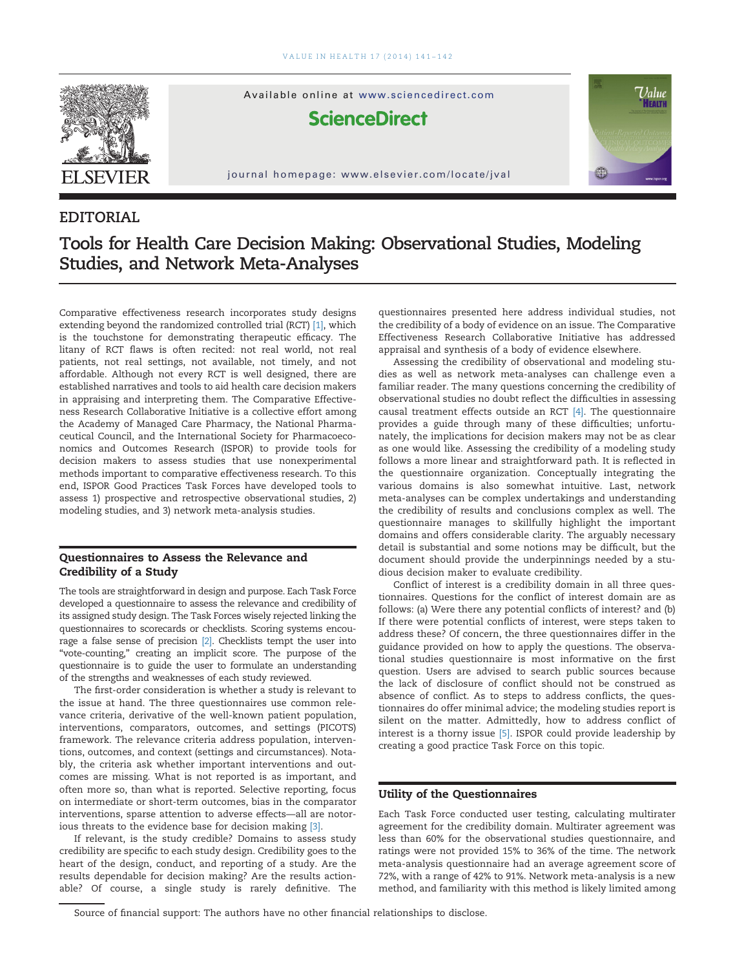

## EDITORIAL

## Tools for Health Care Decision Making: Observational Studies, Modeling Studies, and Network Meta-Analyses

Comparative effectiveness research incorporates study designs extending beyond the randomized controlled trial (RCT) [\[1\]](#page-1-0), which is the touchstone for demonstrating therapeutic efficacy. The litany of RCT flaws is often recited: not real world, not real patients, not real settings, not available, not timely, and not affordable. Although not every RCT is well designed, there are established narratives and tools to aid health care decision makers in appraising and interpreting them. The Comparative Effectiveness Research Collaborative Initiative is a collective effort among the Academy of Managed Care Pharmacy, the National Pharmaceutical Council, and the International Society for Pharmacoeconomics and Outcomes Research (ISPOR) to provide tools for decision makers to assess studies that use nonexperimental methods important to comparative effectiveness research. To this end, ISPOR Good Practices Task Forces have developed tools to assess 1) prospective and retrospective observational studies, 2) modeling studies, and 3) network meta-analysis studies.

## Questionnaires to Assess the Relevance and Credibility of a Study

The tools are straightforward in design and purpose. Each Task Force developed a questionnaire to assess the relevance and credibility of its assigned study design. The Task Forces wisely rejected linking the questionnaires to scorecards or checklists. Scoring systems encourage a false sense of precision [\[2\]](#page-1-0). Checklists tempt the user into "vote-counting," creating an implicit score. The purpose of the questionnaire is to guide the user to formulate an understanding of the strengths and weaknesses of each study reviewed.

The first-order consideration is whether a study is relevant to the issue at hand. The three questionnaires use common relevance criteria, derivative of the well-known patient population, interventions, comparators, outcomes, and settings (PICOTS) framework. The relevance criteria address population, interventions, outcomes, and context (settings and circumstances). Notably, the criteria ask whether important interventions and outcomes are missing. What is not reported is as important, and often more so, than what is reported. Selective reporting, focus on intermediate or short-term outcomes, bias in the comparator interventions, sparse attention to adverse effects—all are notorious threats to the evidence base for decision making [\[3\]](#page-1-0).

If relevant, is the study credible? Domains to assess study credibility are specific to each study design. Credibility goes to the heart of the design, conduct, and reporting of a study. Are the results dependable for decision making? Are the results actionable? Of course, a single study is rarely definitive. The questionnaires presented here address individual studies, not the credibility of a body of evidence on an issue. The Comparative Effectiveness Research Collaborative Initiative has addressed appraisal and synthesis of a body of evidence elsewhere.

Assessing the credibility of observational and modeling studies as well as network meta-analyses can challenge even a familiar reader. The many questions concerning the credibility of observational studies no doubt reflect the difficulties in assessing causal treatment effects outside an RCT [\[4\].](#page-1-0) The questionnaire provides a guide through many of these difficulties; unfortunately, the implications for decision makers may not be as clear as one would like. Assessing the credibility of a modeling study follows a more linear and straightforward path. It is reflected in the questionnaire organization. Conceptually integrating the various domains is also somewhat intuitive. Last, network meta-analyses can be complex undertakings and understanding the credibility of results and conclusions complex as well. The questionnaire manages to skillfully highlight the important domains and offers considerable clarity. The arguably necessary detail is substantial and some notions may be difficult, but the document should provide the underpinnings needed by a studious decision maker to evaluate credibility.

Conflict of interest is a credibility domain in all three questionnaires. Questions for the conflict of interest domain are as follows: (a) Were there any potential conflicts of interest? and (b) If there were potential conflicts of interest, were steps taken to address these? Of concern, the three questionnaires differ in the guidance provided on how to apply the questions. The observational studies questionnaire is most informative on the first question. Users are advised to search public sources because the lack of disclosure of conflict should not be construed as absence of conflict. As to steps to address conflicts, the questionnaires do offer minimal advice; the modeling studies report is silent on the matter. Admittedly, how to address conflict of interest is a thorny issue [\[5\]](#page-1-0). ISPOR could provide leadership by creating a good practice Task Force on this topic.

## Utility of the Questionnaires

Each Task Force conducted user testing, calculating multirater agreement for the credibility domain. Multirater agreement was less than 60% for the observational studies questionnaire, and ratings were not provided 15% to 36% of the time. The network meta-analysis questionnaire had an average agreement score of 72%, with a range of 42% to 91%. Network meta-analysis is a new method, and familiarity with this method is likely limited among

Source of financial support: The authors have no other financial relationships to disclose.